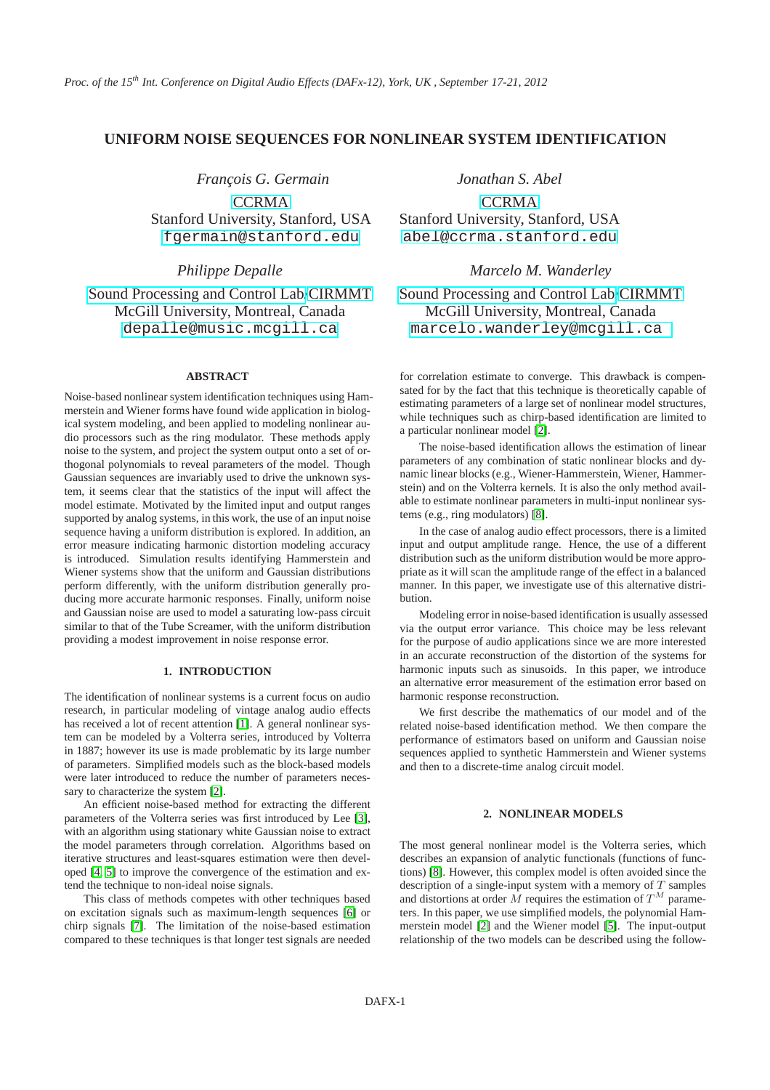# **UNIFORM NOISE SEQUENCES FOR NONLINEAR SYSTEM IDENTIFICATION**

*François G. Germain* **[CCRMA](https://ccrma.stanford.edu)** Stanford University, Stanford, USA [fgermain@stanford.edu](mailto:fgermain@stanford.edu)

*Philippe Depalle*

[Sound Processing and Control Lab](http://www.music.mcgill.ca/musictech/spcl)[/CIRMMT](file:www.cirmmt.mcgill.ca) McGill University, Montreal, Canada [depalle@music.mcgill.ca](mailto:depalle@music.mcgill.ca)

## **ABSTRACT**

Noise-based nonlinear system identification techniques using Hammerstein and Wiener forms have found wide application in biological system modeling, and been applied to modeling nonlinear audio processors such as the ring modulator. These methods apply noise to the system, and project the system output onto a set of orthogonal polynomials to reveal parameters of the model. Though Gaussian sequences are invariably used to drive the unknown system, it seems clear that the statistics of the input will affect the model estimate. Motivated by the limited input and output ranges supported by analog systems, in this work, the use of an input noise sequence having a uniform distribution is explored. In addition, an error measure indicating harmonic distortion modeling accuracy is introduced. Simulation results identifying Hammerstein and Wiener systems show that the uniform and Gaussian distributions perform differently, with the uniform distribution generally producing more accurate harmonic responses. Finally, uniform noise and Gaussian noise are used to model a saturating low-pass circuit similar to that of the Tube Screamer, with the uniform distribution providing a modest improvement in noise response error.

### **1. INTRODUCTION**

The identification of nonlinear systems is a current focus on audio research, in particular modeling of vintage analog audio effects has received a lot of recent attention [\[1\]](#page-3-0). A general nonlinear system can be modeled by a Volterra series, introduced by Volterra in 1887; however its use is made problematic by its large number of parameters. Simplified models such as the block-based models were later introduced to reduce the number of parameters necessary to characterize the system [\[2\]](#page-3-1).

An efficient noise-based method for extracting the different parameters of the Volterra series was first introduced by Lee [\[3\]](#page-3-2), with an algorithm using stationary white Gaussian noise to extract the model parameters through correlation. Algorithms based on iterative structures and least-squares estimation were then developed [\[4,](#page-3-3) [5\]](#page-3-4) to improve the convergence of the estimation and extend the technique to non-ideal noise signals.

This class of methods competes with other techniques based on excitation signals such as maximum-length sequences [\[6\]](#page-3-5) or chirp signals [\[7\]](#page-3-6). The limitation of the noise-based estimation compared to these techniques is that longer test signals are needed *Jonathan S. Abel*

**[CCRMA](https://ccrma.stanford.edu)** Stanford University, Stanford, USA [abel@ccrma.stanford.edu](mailto:abel@ccrma.stanford.edu)

*Marcelo M. Wanderley*

[Sound Processing and Control Lab/](http://www.music.mcgill.ca/musictech/spcl)[CIRMMT](file:www.cirmmt.mcgill.ca) McGill University, Montreal, Canada [marcelo.wanderley@mcgill.ca](mailto:marcelo.wanderley@mcgill.ca )

for correlation estimate to converge. This drawback is compensated for by the fact that this technique is theoretically capable of estimating parameters of a large set of nonlinear model structures, while techniques such as chirp-based identification are limited to a particular nonlinear model [\[2\]](#page-3-1).

The noise-based identification allows the estimation of linear parameters of any combination of static nonlinear blocks and dynamic linear blocks (e.g., Wiener-Hammerstein, Wiener, Hammerstein) and on the Volterra kernels. It is also the only method available to estimate nonlinear parameters in multi-input nonlinear systems (e.g., ring modulators) [\[8\]](#page-3-7).

In the case of analog audio effect processors, there is a limited input and output amplitude range. Hence, the use of a different distribution such as the uniform distribution would be more appropriate as it will scan the amplitude range of the effect in a balanced manner. In this paper, we investigate use of this alternative distribution.

Modeling error in noise-based identification is usually assessed via the output error variance. This choice may be less relevant for the purpose of audio applications since we are more interested in an accurate reconstruction of the distortion of the systems for harmonic inputs such as sinusoids. In this paper, we introduce an alternative error measurement of the estimation error based on harmonic response reconstruction.

We first describe the mathematics of our model and of the related noise-based identification method. We then compare the performance of estimators based on uniform and Gaussian noise sequences applied to synthetic Hammerstein and Wiener systems and then to a discrete-time analog circuit model.

## **2. NONLINEAR MODELS**

The most general nonlinear model is the Volterra series, which describes an expansion of analytic functionals (functions of functions) [\[8\]](#page-3-7). However, this complex model is often avoided since the description of a single-input system with a memory of  $T$  samples and distortions at order M requires the estimation of  $T^M$  parameters. In this paper, we use simplified models, the polynomial Hammerstein model [\[2\]](#page-3-1) and the Wiener model [\[5\]](#page-3-4). The input-output relationship of the two models can be described using the follow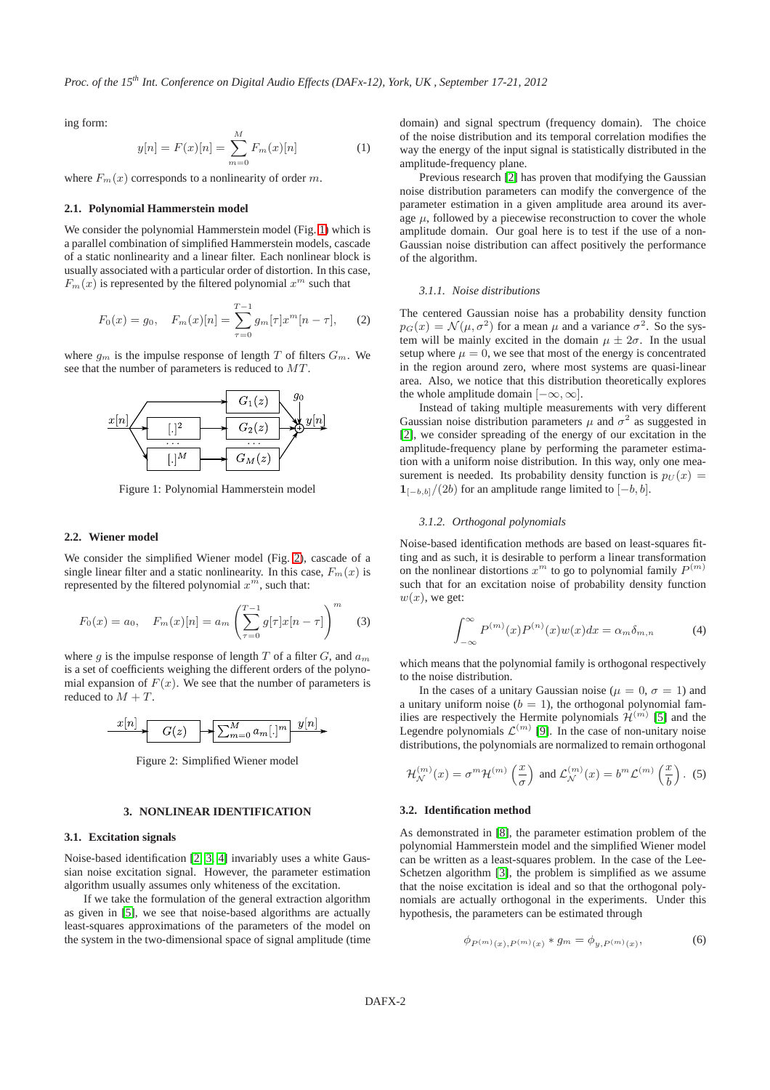*Proc. of the 15th Int. Conference on Digital Audio Effects (DAFx-12), York, UK , September 17-21, 2012*

ing form:

$$
y[n] = F(x)[n] = \sum_{m=0}^{M} F_m(x)[n] \tag{1}
$$

where  $F_m(x)$  corresponds to a nonlinearity of order m.

#### **2.1. Polynomial Hammerstein model**

We consider the polynomial Hammerstein model (Fig. [1\)](#page-1-0) which is a parallel combination of simplified Hammerstein models, cascade of a static nonlinearity and a linear filter. Each nonlinear block is usually associated with a particular order of distortion. In this case,  $F_m(x)$  is represented by the filtered polynomial  $x^m$  such that

$$
F_0(x) = g_0, \quad F_m(x)[n] = \sum_{\tau=0}^{T-1} g_m[\tau] x^m[n-\tau], \quad (2)
$$

<span id="page-1-0"></span>where  $g_m$  is the impulse response of length T of filters  $G_m$ . We see that the number of parameters is reduced to MT .



Figure 1: Polynomial Hammerstein model

### **2.2. Wiener model**

We consider the simplified Wiener model (Fig. [2\)](#page-1-1), cascade of a single linear filter and a static nonlinearity. In this case,  $F_m(x)$  is represented by the filtered polynomial  $x^m$ , such that:

$$
F_0(x) = a_0, \quad F_m(x)[n] = a_m \left(\sum_{\tau=0}^{T-1} g[\tau]x[n-\tau]\right)^m \tag{3}
$$

where g is the impulse response of length T of a filter  $G$ , and  $a_m$ is a set of coefficients weighing the different orders of the polynomial expansion of  $F(x)$ . We see that the number of parameters is reduced to  $M + T$ .

<span id="page-1-1"></span>

Figure 2: Simplified Wiener model

## **3. NONLINEAR IDENTIFICATION**

#### **3.1. Excitation signals**

Noise-based identification [\[2,](#page-3-1) [3,](#page-3-2) [4\]](#page-3-3) invariably uses a white Gaussian noise excitation signal. However, the parameter estimation algorithm usually assumes only whiteness of the excitation.

If we take the formulation of the general extraction algorithm as given in [\[5\]](#page-3-4), we see that noise-based algorithms are actually least-squares approximations of the parameters of the model on the system in the two-dimensional space of signal amplitude (time domain) and signal spectrum (frequency domain). The choice of the noise distribution and its temporal correlation modifies the way the energy of the input signal is statistically distributed in the amplitude-frequency plane.

Previous research [\[2\]](#page-3-1) has proven that modifying the Gaussian noise distribution parameters can modify the convergence of the parameter estimation in a given amplitude area around its average  $\mu$ , followed by a piecewise reconstruction to cover the whole amplitude domain. Our goal here is to test if the use of a non-Gaussian noise distribution can affect positively the performance of the algorithm.

### *3.1.1. Noise distributions*

The centered Gaussian noise has a probability density function  $p_G(x) = \mathcal{N}(\mu, \sigma^2)$  for a mean  $\mu$  and a variance  $\sigma^2$ . So the system will be mainly excited in the domain  $\mu \pm 2\sigma$ . In the usual setup where  $\mu = 0$ , we see that most of the energy is concentrated in the region around zero, where most systems are quasi-linear area. Also, we notice that this distribution theoretically explores the whole amplitude domain  $[-\infty, \infty]$ .

Instead of taking multiple measurements with very different Gaussian noise distribution parameters  $\mu$  and  $\sigma^2$  as suggested in [\[2\]](#page-3-1), we consider spreading of the energy of our excitation in the amplitude-frequency plane by performing the parameter estimation with a uniform noise distribution. In this way, only one measurement is needed. Its probability density function is  $p_U(x) =$  $1_{[-b,b]}/(2b)$  for an amplitude range limited to  $[-b,b]$ .

#### *3.1.2. Orthogonal polynomials*

Noise-based identification methods are based on least-squares fitting and as such, it is desirable to perform a linear transformation on the nonlinear distortions  $x^m$  to go to polynomial family  $P^{(m)}$ such that for an excitation noise of probability density function  $w(x)$ , we get:

$$
\int_{-\infty}^{\infty} P^{(m)}(x) P^{(n)}(x) w(x) dx = \alpha_m \delta_{m,n} \tag{4}
$$

which means that the polynomial family is orthogonal respectively to the noise distribution.

In the cases of a unitary Gaussian noise ( $\mu = 0$ ,  $\sigma = 1$ ) and a unitary uniform noise ( $b = 1$ ), the orthogonal polynomial families are respectively the Hermite polynomials  $\mathcal{H}^{(m)}$  [\[5\]](#page-3-4) and the Legendre polynomials  $\mathcal{L}^{(m)}$  [\[9\]](#page-3-8). In the case of non-unitary noise distributions, the polynomials are normalized to remain orthogonal

$$
\mathcal{H}_{\mathcal{N}}^{(m)}(x) = \sigma^m \mathcal{H}^{(m)}\left(\frac{x}{\sigma}\right) \text{ and } \mathcal{L}_{\mathcal{N}}^{(m)}(x) = b^m \mathcal{L}^{(m)}\left(\frac{x}{b}\right). \tag{5}
$$

#### **3.2. Identification method**

As demonstrated in [\[8\]](#page-3-7), the parameter estimation problem of the polynomial Hammerstein model and the simplified Wiener model can be written as a least-squares problem. In the case of the Lee-Schetzen algorithm [\[3\]](#page-3-2), the problem is simplified as we assume that the noise excitation is ideal and so that the orthogonal polynomials are actually orthogonal in the experiments. Under this hypothesis, the parameters can be estimated through

$$
\phi_{P^{(m)}(x),P^{(m)}(x)} * g_m = \phi_{y,P^{(m)}(x)},
$$
\n(6)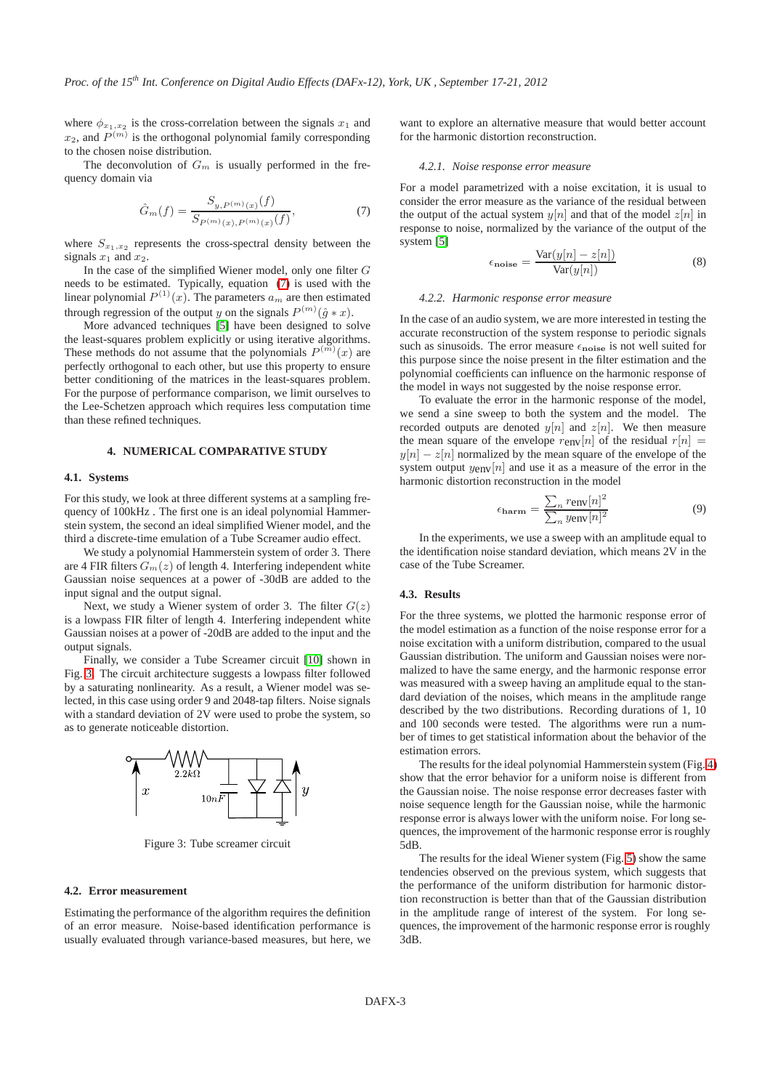where  $\phi_{x_1,x_2}$  is the cross-correlation between the signals  $x_1$  and  $x_2$ , and  $P^{(m)}$  is the orthogonal polynomial family corresponding to the chosen noise distribution.

The deconvolution of  $G_m$  is usually performed in the frequency domain via

<span id="page-2-0"></span>
$$
\hat{G}_m(f) = \frac{S_{y,P^{(m)}(x)}(f)}{S_{P^{(m)}(x),P^{(m)}(x)}(f)},\tag{7}
$$

where  $S_{x_1,x_2}$  represents the cross-spectral density between the signals  $x_1$  and  $x_2$ .

In the case of the simplified Wiener model, only one filter  $G$ needs to be estimated. Typically, equation [\(7\)](#page-2-0) is used with the linear polynomial  $P^{(1)}(x)$ . The parameters  $a_m$  are then estimated through regression of the output y on the signals  $P^{(m)}(\hat{g} * x)$ .

More advanced techniques [\[5\]](#page-3-4) have been designed to solve the least-squares problem explicitly or using iterative algorithms. These methods do not assume that the polynomials  $P^{(m)}(x)$  are perfectly orthogonal to each other, but use this property to ensure better conditioning of the matrices in the least-squares problem. For the purpose of performance comparison, we limit ourselves to the Lee-Schetzen approach which requires less computation time than these refined techniques.

## **4. NUMERICAL COMPARATIVE STUDY**

### **4.1. Systems**

For this study, we look at three different systems at a sampling frequency of 100kHz . The first one is an ideal polynomial Hammerstein system, the second an ideal simplified Wiener model, and the third a discrete-time emulation of a Tube Screamer audio effect.

We study a polynomial Hammerstein system of order 3. There are 4 FIR filters  $G_m(z)$  of length 4. Interfering independent white Gaussian noise sequences at a power of -30dB are added to the input signal and the output signal.

Next, we study a Wiener system of order 3. The filter  $G(z)$ is a lowpass FIR filter of length 4. Interfering independent white Gaussian noises at a power of -20dB are added to the input and the output signals.

Finally, we consider a Tube Screamer circuit [\[10\]](#page-3-9) shown in Fig. [3.](#page-2-1) The circuit architecture suggests a lowpass filter followed by a saturating nonlinearity. As a result, a Wiener model was selected, in this case using order 9 and 2048-tap filters. Noise signals with a standard deviation of 2V were used to probe the system, so as to generate noticeable distortion.

<span id="page-2-1"></span>

Figure 3: Tube screamer circuit

#### **4.2. Error measurement**

Estimating the performance of the algorithm requires the definition of an error measure. Noise-based identification performance is usually evaluated through variance-based measures, but here, we

want to explore an alternative measure that would better account for the harmonic distortion reconstruction.

#### *4.2.1. Noise response error measure*

For a model parametrized with a noise excitation, it is usual to consider the error measure as the variance of the residual between the output of the actual system  $y[n]$  and that of the model  $z[n]$  in response to noise, normalized by the variance of the output of the system [\[5\]](#page-3-4)

$$
\epsilon_{\text{noise}} = \frac{\text{Var}(y[n] - z[n])}{\text{Var}(y[n])} \tag{8}
$$

#### *4.2.2. Harmonic response error measure*

In the case of an audio system, we are more interested in testing the accurate reconstruction of the system response to periodic signals such as sinusoids. The error measure  $\epsilon_{\text{noise}}$  is not well suited for this purpose since the noise present in the filter estimation and the polynomial coefficients can influence on the harmonic response of the model in ways not suggested by the noise response error.

To evaluate the error in the harmonic response of the model, we send a sine sweep to both the system and the model. The recorded outputs are denoted  $y[n]$  and  $z[n]$ . We then measure the mean square of the envelope  $r_{env}[n]$  of the residual  $r[n] =$  $y[n] - z[n]$  normalized by the mean square of the envelope of the system output  $y_{env}[n]$  and use it as a measure of the error in the harmonic distortion reconstruction in the model

$$
\epsilon_{\text{harm}} = \frac{\sum_{n} r_{\text{env}}[n]^2}{\sum_{n} y_{\text{env}}[n]^2}
$$
(9)

In the experiments, we use a sweep with an amplitude equal to the identification noise standard deviation, which means 2V in the case of the Tube Screamer.

#### **4.3. Results**

For the three systems, we plotted the harmonic response error of the model estimation as a function of the noise response error for a noise excitation with a uniform distribution, compared to the usual Gaussian distribution. The uniform and Gaussian noises were normalized to have the same energy, and the harmonic response error was measured with a sweep having an amplitude equal to the standard deviation of the noises, which means in the amplitude range described by the two distributions. Recording durations of 1, 10 and 100 seconds were tested. The algorithms were run a number of times to get statistical information about the behavior of the estimation errors.

The results for the ideal polynomial Hammerstein system (Fig. [4\)](#page-3-10) show that the error behavior for a uniform noise is different from the Gaussian noise. The noise response error decreases faster with noise sequence length for the Gaussian noise, while the harmonic response error is always lower with the uniform noise. For long sequences, the improvement of the harmonic response error is roughly 5dB.

The results for the ideal Wiener system (Fig. [5\)](#page-3-11) show the same tendencies observed on the previous system, which suggests that the performance of the uniform distribution for harmonic distortion reconstruction is better than that of the Gaussian distribution in the amplitude range of interest of the system. For long sequences, the improvement of the harmonic response error is roughly 3dB.